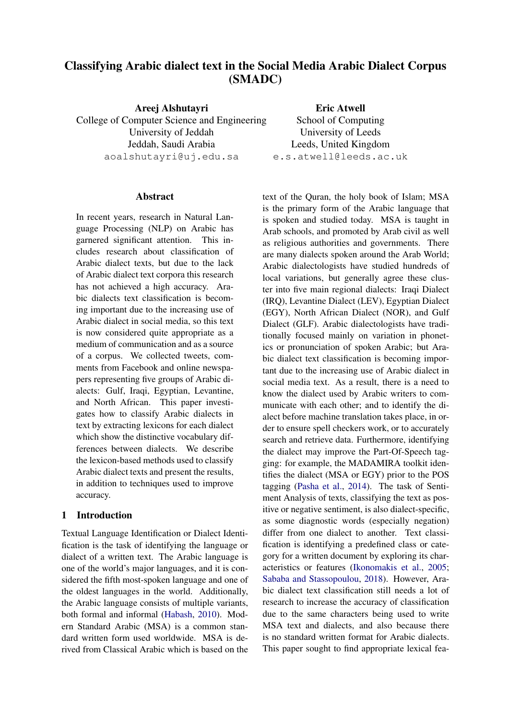# Classifying Arabic dialect text in the Social Media Arabic Dialect Corpus (SMADC)

Areej Alshutayri College of Computer Science and Engineering University of Jeddah Jeddah, Saudi Arabia aoalshutayri@uj.edu.sa

## Abstract

In recent years, research in Natural Language Processing (NLP) on Arabic has garnered significant attention. This includes research about classification of Arabic dialect texts, but due to the lack of Arabic dialect text corpora this research has not achieved a high accuracy. Arabic dialects text classification is becoming important due to the increasing use of Arabic dialect in social media, so this text is now considered quite appropriate as a medium of communication and as a source of a corpus. We collected tweets, comments from Facebook and online newspapers representing five groups of Arabic dialects: Gulf, Iraqi, Egyptian, Levantine, and North African. This paper investigates how to classify Arabic dialects in text by extracting lexicons for each dialect which show the distinctive vocabulary differences between dialects. We describe the lexicon-based methods used to classify Arabic dialect texts and present the results, in addition to techniques used to improve accuracy.

# 1 Introduction

Textual Language Identification or Dialect Identification is the task of identifying the language or dialect of a written text. The Arabic language is one of the world's major languages, and it is considered the fifth most-spoken language and one of the oldest languages in the world. Additionally, the Arabic language consists of multiple variants, both formal and informal [\(Habash,](#page-7-0) [2010\)](#page-7-0). Modern Standard Arabic (MSA) is a common standard written form used worldwide. MSA is derived from Classical Arabic which is based on the

text of the Quran, the holy book of Islam; MSA is the primary form of the Arabic language that is spoken and studied today. MSA is taught in Arab schools, and promoted by Arab civil as well as religious authorities and governments. There are many dialects spoken around the Arab World; Arabic dialectologists have studied hundreds of local variations, but generally agree these cluster into five main regional dialects: Iraqi Dialect (IRQ), Levantine Dialect (LEV), Egyptian Dialect (EGY), North African Dialect (NOR), and Gulf Dialect (GLF). Arabic dialectologists have traditionally focused mainly on variation in phonetics or pronunciation of spoken Arabic; but Arabic dialect text classification is becoming important due to the increasing use of Arabic dialect in social media text. As a result, there is a need to know the dialect used by Arabic writers to communicate with each other; and to identify the dialect before machine translation takes place, in order to ensure spell checkers work, or to accurately search and retrieve data. Furthermore, identifying the dialect may improve the Part-Of-Speech tagging: for example, the MADAMIRA toolkit identifies the dialect (MSA or EGY) prior to the POS tagging [\(Pasha et al.,](#page-7-1) [2014\)](#page-7-1). The task of Sentiment Analysis of texts, classifying the text as positive or negative sentiment, is also dialect-specific, as some diagnostic words (especially negation) differ from one dialect to another. Text classification is identifying a predefined class or category for a written document by exploring its characteristics or features [\(Ikonomakis et al.,](#page-7-2) [2005;](#page-7-2) [Sababa and Stassopoulou,](#page-7-3) [2018\)](#page-7-3). However, Arabic dialect text classification still needs a lot of research to increase the accuracy of classification due to the same characters being used to write MSA text and dialects, and also because there is no standard written format for Arabic dialects. This paper sought to find appropriate lexical fea-

Eric Atwell School of Computing University of Leeds Leeds, United Kingdom e.s.atwell@leeds.ac.uk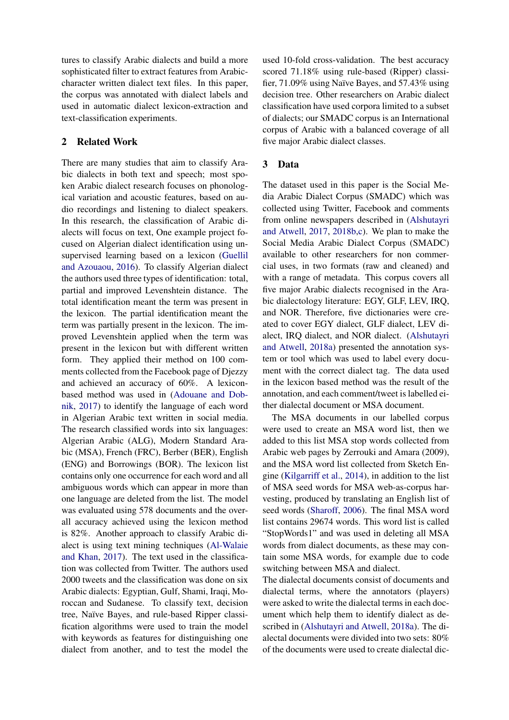tures to classify Arabic dialects and build a more sophisticated filter to extract features from Arabiccharacter written dialect text files. In this paper, the corpus was annotated with dialect labels and used in automatic dialect lexicon-extraction and text-classification experiments.

# 2 Related Work

There are many studies that aim to classify Arabic dialects in both text and speech; most spoken Arabic dialect research focuses on phonological variation and acoustic features, based on audio recordings and listening to dialect speakers. In this research, the classification of Arabic dialects will focus on text, One example project focused on Algerian dialect identification using unsupervised learning based on a lexicon [\(Guellil](#page-7-4) [and Azouaou,](#page-7-4) [2016\)](#page-7-4). To classify Algerian dialect the authors used three types of identification: total, partial and improved Levenshtein distance. The total identification meant the term was present in the lexicon. The partial identification meant the term was partially present in the lexicon. The improved Levenshtein applied when the term was present in the lexicon but with different written form. They applied their method on 100 comments collected from the Facebook page of Djezzy and achieved an accuracy of 60%. A lexiconbased method was used in [\(Adouane and Dob](#page-7-5)[nik,](#page-7-5) [2017\)](#page-7-5) to identify the language of each word in Algerian Arabic text written in social media. The research classified words into six languages: Algerian Arabic (ALG), Modern Standard Arabic (MSA), French (FRC), Berber (BER), English (ENG) and Borrowings (BOR). The lexicon list contains only one occurrence for each word and all ambiguous words which can appear in more than one language are deleted from the list. The model was evaluated using 578 documents and the overall accuracy achieved using the lexicon method is 82%. Another approach to classify Arabic dialect is using text mining techniques [\(Al-Walaie](#page-7-6) [and Khan,](#page-7-6) [2017\)](#page-7-6). The text used in the classification was collected from Twitter. The authors used 2000 tweets and the classification was done on six Arabic dialects: Egyptian, Gulf, Shami, Iraqi, Moroccan and Sudanese. To classify text, decision tree, Naïve Bayes, and rule-based Ripper classification algorithms were used to train the model with keywords as features for distinguishing one dialect from another, and to test the model the

used 10-fold cross-validation. The best accuracy scored 71.18% using rule-based (Ripper) classifier, 71.09% using Naïve Bayes, and 57.43% using decision tree. Other researchers on Arabic dialect classification have used corpora limited to a subset of dialects; our SMADC corpus is an International corpus of Arabic with a balanced coverage of all five major Arabic dialect classes.

# 3 Data

The dataset used in this paper is the Social Media Arabic Dialect Corpus (SMADC) which was collected using Twitter, Facebook and comments from online newspapers described in [\(Alshutayri](#page-7-7) [and Atwell,](#page-7-7) [2017,](#page-7-7) [2018b](#page-7-8)[,c\)](#page-7-9). We plan to make the Social Media Arabic Dialect Corpus (SMADC) available to other researchers for non commercial uses, in two formats (raw and cleaned) and with a range of metadata. This corpus covers all five major Arabic dialects recognised in the Arabic dialectology literature: EGY, GLF, LEV, IRQ, and NOR. Therefore, five dictionaries were created to cover EGY dialect, GLF dialect, LEV dialect, IRQ dialect, and NOR dialect. [\(Alshutayri](#page-7-10) [and Atwell,](#page-7-10) [2018a\)](#page-7-10) presented the annotation system or tool which was used to label every document with the correct dialect tag. The data used in the lexicon based method was the result of the annotation, and each comment/tweet is labelled either dialectal document or MSA document.

The MSA documents in our labelled corpus were used to create an MSA word list, then we added to this list MSA stop words collected from Arabic web pages by Zerrouki and Amara (2009), and the MSA word list collected from Sketch Engine [\(Kilgarriff et al.,](#page-7-11) [2014\)](#page-7-11), in addition to the list of MSA seed words for MSA web-as-corpus harvesting, produced by translating an English list of seed words [\(Sharoff,](#page-7-12) [2006\)](#page-7-12). The final MSA word list contains 29674 words. This word list is called "StopWords1" and was used in deleting all MSA words from dialect documents, as these may contain some MSA words, for example due to code switching between MSA and dialect.

The dialectal documents consist of documents and dialectal terms, where the annotators (players) were asked to write the dialectal terms in each document which help them to identify dialect as described in [\(Alshutayri and Atwell,](#page-7-10) [2018a\)](#page-7-10). The dialectal documents were divided into two sets: 80% of the documents were used to create dialectal dic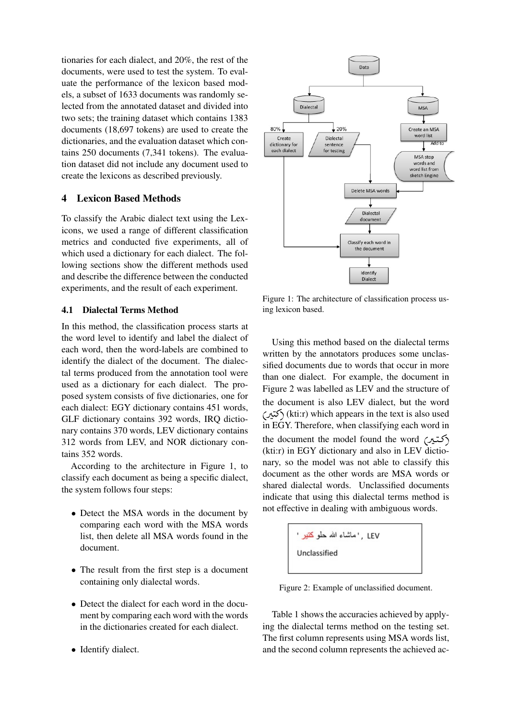tionaries for each dialect, and 20%, the rest of the documents, were used to test the system. To evaluate the performance of the lexicon based models, a subset of 1633 documents was randomly selected from the annotated dataset and divided into two sets; the training dataset which contains 1383 documents (18,697 tokens) are used to create the dictionaries, and the evaluation dataset which contains 250 documents (7,341 tokens). The evaluation dataset did not include any document used to create the lexicons as described previously.

# 4 Lexicon Based Methods

To classify the Arabic dialect text using the Lexicons, we used a range of different classification metrics and conducted five experiments, all of which used a dictionary for each dialect. The following sections show the different methods used and describe the difference between the conducted experiments, and the result of each experiment.

# 4.1 Dialectal Terms Method

In this method, the classification process starts at the word level to identify and label the dialect of each word, then the word-labels are combined to identify the dialect of the document. The dialectal terms produced from the annotation tool were used as a dictionary for each dialect. The proposed system consists of five dictionaries, one for each dialect: EGY dictionary contains 451 words, GLF dictionary contains 392 words, IRQ dictionary contains 370 words, LEV dictionary contains 312 words from LEV, and NOR dictionary contains 352 words.

According to the architecture in Figure 1, to classify each document as being a specific dialect, the system follows four steps:

- Detect the MSA words in the document by comparing each word with the MSA words list, then delete all MSA words found in the document.
- The result from the first step is a document containing only dialectal words.
- Detect the dialect for each word in the document by comparing each word with the words in the dictionaries created for each dialect.
- Identify dialect.



Figure 1: The architecture of classification process using lexicon based.

Using this method based on the dialectal terms written by the annotators produces some unclassified documents due to words that occur in more than one dialect. For example, the document in Figure 2 was labelled as LEV and the structure of the document is also LEV dialect, but the word the document is also LEV dialect, but the word<br>کتیر) (kti:r) which appears in the text is also used ń  $\ddot{\ }$ in EGY. Therefore, when classifying each word in the document the model found the word (محتير) ŗ ี<br>.. (kti:r) in EGY dictionary and also in LEV dictionary, so the model was not able to classify this document as the other words are MSA words or shared dialectal words. Unclassified documents indicate that using this dialectal terms method is not effective in dealing with ambiguous words.

Figure 2: Example of unclassified document.

Table 1 shows the accuracies achieved by applying the dialectal terms method on the testing set. The first column represents using MSA words list, and the second column represents the achieved ac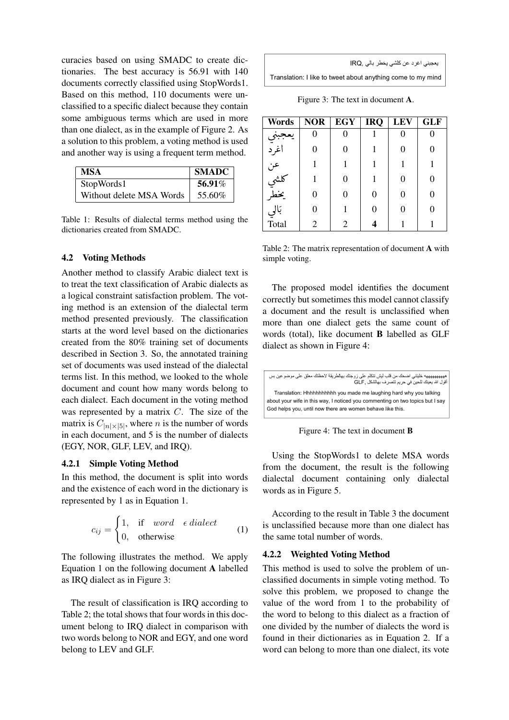curacies based on using SMADC to create dictionaries. The best accuracy is 56.91 with 140 documents correctly classified using StopWords1. Based on this method, 110 documents were unclassified to a specific dialect because they contain some ambiguous terms which are used in more than one dialect, as in the example of Figure 2. As a solution to this problem, a voting method is used and another way is using a frequent term method.

| MSA                      | <b>SMADC</b> |
|--------------------------|--------------|
| StopWords1               | 56.91%       |
| Without delete MSA Words | 55.60%       |

Table 1: Results of dialectal terms method using the dictionaries created from SMADC.

# 4.2 Voting Methods

Another method to classify Arabic dialect text is to treat the text classification of Arabic dialects as a logical constraint satisfaction problem. The voting method is an extension of the dialectal term method presented previously. The classification starts at the word level based on the dictionaries created from the 80% training set of documents described in Section 3. So, the annotated training set of documents was used instead of the dialectal terms list. In this method, we looked to the whole document and count how many words belong to each dialect. Each document in the voting method was represented by a matrix C. The size of the matrix is  $C_{|n| \times |5|}$ , where *n* is the number of words in each document, and 5 is the number of dialects (EGY, NOR, GLF, LEV, and IRQ).

## 4.2.1 Simple Voting Method

In this method, the document is split into words and the existence of each word in the dictionary is represented by 1 as in Equation 1.

$$
c_{ij} = \begin{cases} 1, & \text{if } word \in dialect \\ 0, & \text{otherwise} \end{cases} \tag{1}
$$

The following illustrates the method. We apply Equation 1 on the following document A labelled as IRQ dialect as in Figure 3:

The result of classification is IRQ according to Table 2; the total shows that four words in this document belong to IRQ dialect in comparison with two words belong to NOR and EGY, and one word belong to LEV and GLF.

| يعجبني اغرد عن كلشي يخطر بالي ,IRQ                          |  |
|-------------------------------------------------------------|--|
| Translation: I like to tweet about anything come to my mind |  |

Figure 3: The text in document A.

| <b>Words</b>      | <b>NOR</b> | <b>EGY</b> | <b>IRQ</b> | <b>LEV</b> | <b>GLF</b> |
|-------------------|------------|------------|------------|------------|------------|
|                   |            |            |            |            |            |
| جبي<br>اغرد       | $\theta$   | 0          |            | 0          | 0          |
| عن<br>کلشي<br>نخط | 1          |            | 1          | 1          | 1          |
|                   | 1          | 0          |            | 0          | 0          |
|                   | 0          | 0          | $\Omega$   | 0          | 0          |
| بَالِي<br>Total   | 0          |            | 0          | 0          | 0          |
|                   | 2          | 2          |            |            |            |

Table 2: The matrix representation of document A with simple voting.

The proposed model identifies the document correctly but sometimes this model cannot classify a document and the result is unclassified when more than one dialect gets the same count of words (total), like document B labelled as GLF dialect as shown in Figure 4:

| ههههههههههه خليتني اضحك من قلب ليش تتكلم على زوجتك بهالطريقة لاحظتك معلق على موضو عين بس<br>أقول الله يعينك للحين في حريم تتصرف بهالشكل .GLF                                                                      |
|-------------------------------------------------------------------------------------------------------------------------------------------------------------------------------------------------------------------|
| Translation: Hhhhhhhhhhh you made me laughing hard why you talking<br>about your wife in this way, I noticed you commenting on two topics but I say<br>God helps you, until now there are women behave like this. |

Figure 4: The text in document B

Using the StopWords1 to delete MSA words from the document, the result is the following dialectal document containing only dialectal words as in Figure 5.

According to the result in Table 3 the document is unclassified because more than one dialect has the same total number of words.

#### 4.2.2 Weighted Voting Method

This method is used to solve the problem of unclassified documents in simple voting method. To solve this problem, we proposed to change the value of the word from 1 to the probability of the word to belong to this dialect as a fraction of one divided by the number of dialects the word is found in their dictionaries as in Equation 2. If a word can belong to more than one dialect, its vote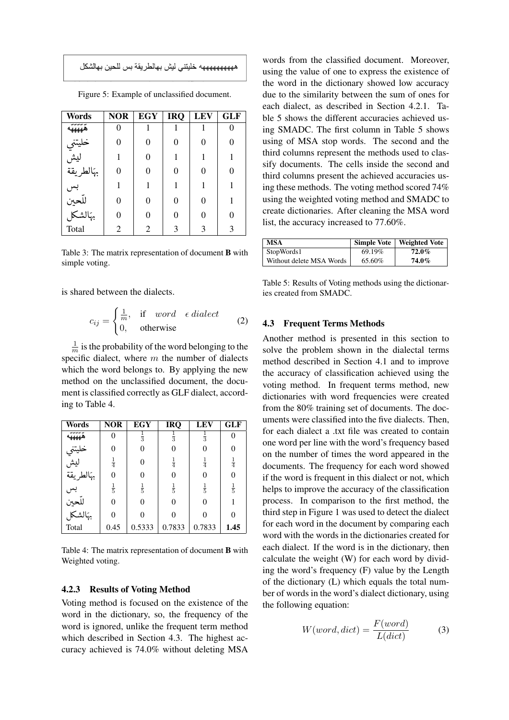| Words                            | <b>NOR</b> | <b>EGY</b> | <b>IRQ</b> | <b>LEV</b> | <b>GLF</b> |
|----------------------------------|------------|------------|------------|------------|------------|
| س س س س س<br>هههههه              |            |            |            |            |            |
|                                  | 0          | 0          | 0          | 0          |            |
| خليتني<br>ليش                    |            | 0          |            |            |            |
| بهالطريقة<br>بهالطريقة           | 0          | 0          | 0          | 0          |            |
|                                  |            |            |            | 1          |            |
|                                  | 0          | 0          | 0          | 0          |            |
| بس<br>للّحين<br>تهالشكل<br>Total | 0          | 0          | 0          | 0          |            |
|                                  | 2          | 2          | 3          | 3          | 3          |

Figure 5: Example of unclassified document.

Table 3: The matrix representation of document B with simple voting.

is shared between the dialects.

$$
c_{ij} = \begin{cases} \frac{1}{m}, & \text{if} \quad word \quad \epsilon \, dialect \\ 0, & \text{otherwise} \end{cases} \tag{2}
$$

1  $\frac{1}{m}$  is the probability of the word belonging to the specific dialect, where  $m$  the number of dialects which the word belongs to. By applying the new method on the unclassified document, the document is classified correctly as GLF dialect, according to Table 4.

| Words                       | <b>NOR</b>    | <b>EGY</b>    | <b>IRQ</b>    | <b>LEV</b>    | <b>GLF</b>    |
|-----------------------------|---------------|---------------|---------------|---------------|---------------|
| ههههه                       | 0             | $\frac{1}{3}$ | $\frac{1}{3}$ | $\frac{1}{3}$ | 0             |
|                             | 0             | 0             | 0             | 0             | 0             |
| خليتني<br>ليش<br>بهَالطريقة | $\frac{1}{4}$ | 0             | $\frac{1}{4}$ | $\frac{1}{4}$ | $\frac{1}{4}$ |
|                             | $\Omega$      |               | $\theta$      | $\theta$      | $\theta$      |
| بس<br>للّحين<br>بهَالشكل    | $\frac{1}{5}$ | $\frac{1}{5}$ | $\frac{1}{5}$ | $\frac{1}{5}$ | $\frac{1}{5}$ |
|                             | 0             | 0             | $\theta$      | $\theta$      | 1             |
|                             | 0             |               | 0             | 0             | 0             |
| Total                       | 0.45          | 0.5333        | 0.7833        | 0.7833        | 1.45          |

Table 4: The matrix representation of document B with Weighted voting.

# 4.2.3 Results of Voting Method

Voting method is focused on the existence of the word in the dictionary, so, the frequency of the word is ignored, unlike the frequent term method which described in Section 4.3. The highest accuracy achieved is 74.0% without deleting MSA

words from the classified document. Moreover, using the value of one to express the existence of the word in the dictionary showed low accuracy due to the similarity between the sum of ones for each dialect, as described in Section 4.2.1. Table 5 shows the different accuracies achieved using SMADC. The first column in Table 5 shows using of MSA stop words. The second and the third columns represent the methods used to classify documents. The cells inside the second and third columns present the achieved accuracies using these methods. The voting method scored 74% using the weighted voting method and SMADC to create dictionaries. After cleaning the MSA word list, the accuracy increased to 77.60%.

| <b>MSA</b>               |        | Simple Vote   Weighted Vote |
|--------------------------|--------|-----------------------------|
| StopWords1               | 69.19% | $72.0\%$                    |
| Without delete MSA Words | 65.60% | 74.0%                       |

Table 5: Results of Voting methods using the dictionaries created from SMADC.

### 4.3 Frequent Terms Methods

Another method is presented in this section to solve the problem shown in the dialectal terms method described in Section 4.1 and to improve the accuracy of classification achieved using the voting method. In frequent terms method, new dictionaries with word frequencies were created from the 80% training set of documents. The documents were classified into the five dialects. Then, for each dialect a .txt file was created to contain one word per line with the word's frequency based on the number of times the word appeared in the documents. The frequency for each word showed if the word is frequent in this dialect or not, which helps to improve the accuracy of the classification process. In comparison to the first method, the third step in Figure 1 was used to detect the dialect for each word in the document by comparing each word with the words in the dictionaries created for each dialect. If the word is in the dictionary, then calculate the weight (W) for each word by dividing the word's frequency (F) value by the Length of the dictionary (L) which equals the total number of words in the word's dialect dictionary, using the following equation:

$$
W(word, dict) = \frac{F(word)}{L(dict)}
$$
 (3)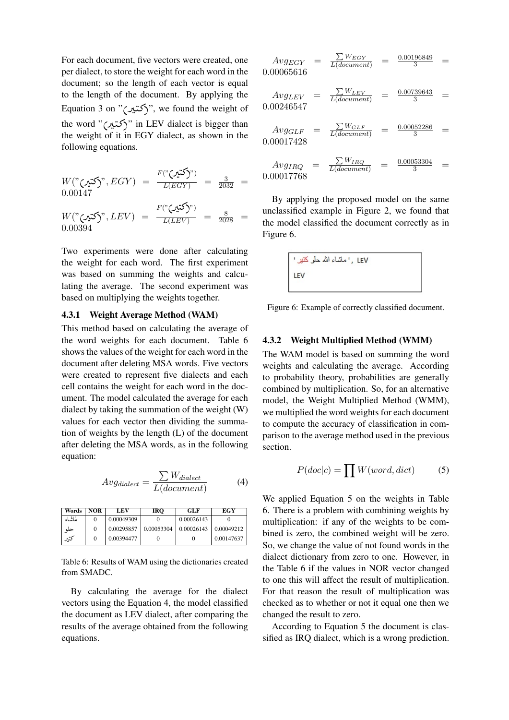For each document, five vectors were created, one per dialect, to store the weight for each word in the document; so the length of each vector is equal to the length of the document. By applying the Equation 3 on "(Q J»)", we found the weight of ļ ່ the word "(Q J»)" in LEV dialect is bigger than  $\ddot{\cdot}$ .<br>.. the weight of it in EGY dialect, as shown in the following equations.

$$
W("25") \cdot EGY = \frac{F("25")}{L(EGY)} = \frac{3}{2032} = 0.00147
$$
  

$$
W("25") \cdot EV = \frac{F("25")}{L(EEV)} = \frac{8}{2028} = 0
$$

Two experiments were done after calculating the weight for each word. The first experiment was based on summing the weights and calculating the average. The second experiment was

# based on multiplying the weights together. 4.3.1 Weight Average Method (WAM)

0.00394

This method based on calculating the average of the word weights for each document. Table 6 shows the values of the weight for each word in the document after deleting MSA words. Five vectors were created to represent five dialects and each cell contains the weight for each word in the document. The model calculated the average for each dialect by taking the summation of the weight (W) values for each vector then dividing the summation of weights by the length (L) of the document after deleting the MSA words, as in the following equation:

$$
Avg_{dialect} = \frac{\sum W_{dialect}}{L(document)} \tag{4}
$$

| Words   | <b>NOR</b> | LEV        | <b>IRO</b> | GLF        | EGY        |
|---------|------------|------------|------------|------------|------------|
| مَاشَاء | $\Omega$   | 0.00049309 |            | 0.00026143 |            |
| حلو     | $\Omega$   | 0.00295857 | 0.00053304 | 0.00026143 | 0.00049212 |
| کتير    | 0          | 0.00394477 |            |            | 0.00147637 |

Table 6: Results of WAM using the dictionaries created from SMADC.

By calculating the average for the dialect vectors using the Equation 4, the model classified the document as LEV dialect, after comparing the results of the average obtained from the following equations.

$$
Avg_{EGY} = \frac{\sum W_{EGY}}{L(document)} = \frac{0.00196849}{3} = 0.00065616
$$

 $Avg_{LEV}$  $\frac{\sum W_{LEV}}{L(document)}$  =  $\frac{0.00739643}{3}$  = 0.0024654

$$
Avg_{GLF} = \frac{\sum W_{GLF}}{L(document)} = \frac{0.00052286}{3} = 0.00017428
$$

$$
Avg_{IRQ} = \frac{\sum W_{IRQ}}{L(document)} = \frac{0.00053304}{3} = 0.00017768
$$

By applying the proposed model on the same unclassified example in Figure 2, we found that the model classified the document correctly as in Figure 6.

Figure 6: Example of correctly classified document.

## 4.3.2 Weight Multiplied Method (WMM)

The WAM model is based on summing the word weights and calculating the average. According to probability theory, probabilities are generally combined by multiplication. So, for an alternative model, the Weight Multiplied Method (WMM), we multiplied the word weights for each document to compute the accuracy of classification in comparison to the average method used in the previous section.

$$
P(doc|c) = \prod W(word, dict) \tag{5}
$$

We applied Equation 5 on the weights in Table 6. There is a problem with combining weights by multiplication: if any of the weights to be combined is zero, the combined weight will be zero. So, we change the value of not found words in the dialect dictionary from zero to one. However, in the Table 6 if the values in NOR vector changed to one this will affect the result of multiplication. For that reason the result of multiplication was checked as to whether or not it equal one then we changed the result to zero.

According to Equation 5 the document is classified as IRQ dialect, which is a wrong prediction.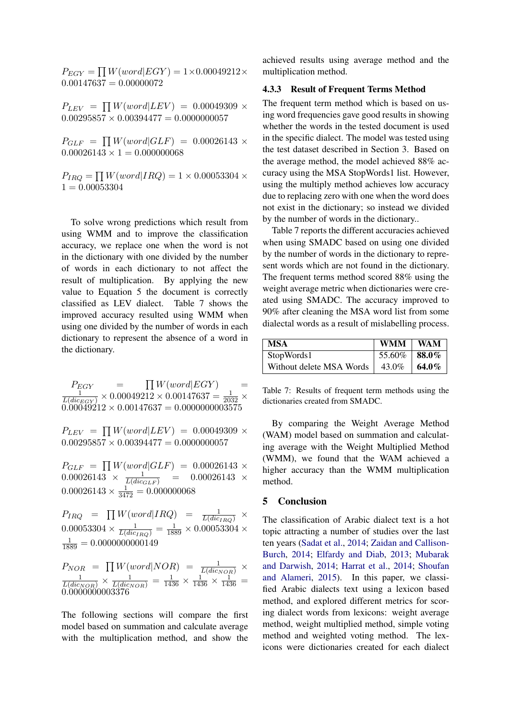$P_{EGY} = \prod W(word|EGY) = 1 \times 0.00049212 \times$  $0.00147637 = 0.00000072$ 

 $P_{LEV} = \prod W(word|LEV) = 0.00049309 \times$  $0.00295857 \times 0.00394477 = 0.0000000057$ 

 $P_{GLF} = \prod W(word|GLF) = 0.00026143 \times$  $0.00026143 \times 1 = 0.000000068$ 

 $P_{IRQ} = \prod W(word|IRQ) = 1 \times 0.00053304 \times$  $1 = 0.00053304$ 

To solve wrong predictions which result from using WMM and to improve the classification accuracy, we replace one when the word is not in the dictionary with one divided by the number of words in each dictionary to not affect the result of multiplication. By applying the new value to Equation 5 the document is correctly classified as LEV dialect. Table 7 shows the improved accuracy resulted using WMM when using one divided by the number of words in each dictionary to represent the absence of a word in the dictionary.

 $P_{EGY}$  =  $\prod W(word|EGY)$  =  $\frac{1}{L(dic_{EGY})}\times 0.00049212\times 0.00147637 = \frac{1}{2032}\times$  $0.000\overline{492}12 \times 0.00147637 = 0.0000000003575$ 

 $P_{LEV} = \prod W(word|LEV) = 0.00049309 \times$  $0.00295857 \times 0.00394477 = 0.0000000057$ 

 $P_{GLF} = \prod W(word|GLF) = 0.00026143 \times$  $0.00026143 \times \frac{1}{L(dic_{GLF})}$  =  $0.00026143 \times$  $0.00026143 \times \frac{1}{3472} = 0.000000068$ 

 $P_{IRQ}$  =  $\prod W(word|IRQ)$  =  $\frac{1}{L(di_{IRQ})}$  ×  $0.00053304 \times \frac{1}{L(di_{IRQ})} = \frac{1}{1889} \times 0.00053304 \times$  $\frac{1}{1889} = 0.0000000000149$ 

 $P_{NOR} = \prod_{U} W(word|NOR) = \frac{1}{L(dic_{NOR})} \times \frac{1}{L(dic_{NOR})} = \frac{1}{1436} \times \frac{1}{1436} \times \frac{1}{1436} =$ 0.0000000003376

The following sections will compare the first model based on summation and calculate average with the multiplication method, and show the

achieved results using average method and the multiplication method.

## 4.3.3 Result of Frequent Terms Method

The frequent term method which is based on using word frequencies gave good results in showing whether the words in the tested document is used in the specific dialect. The model was tested using the test dataset described in Section 3. Based on the average method, the model achieved 88% accuracy using the MSA StopWords1 list. However, using the multiply method achieves low accuracy due to replacing zero with one when the word does not exist in the dictionary; so instead we divided by the number of words in the dictionary..

Table 7 reports the different accuracies achieved when using SMADC based on using one divided by the number of words in the dictionary to represent words which are not found in the dictionary. The frequent terms method scored 88% using the weight average metric when dictionaries were created using SMADC. The accuracy improved to 90% after cleaning the MSA word list from some dialectal words as a result of mislabelling process.

| <b>MSA</b>               | <b>WMM</b>            | <b>WAM</b> |
|--------------------------|-----------------------|------------|
| StopWords1               | 55.60%   <b>88.0%</b> |            |
| Without delete MSA Words | 43.0% 64.0%           |            |

Table 7: Results of frequent term methods using the dictionaries created from SMADC.

By comparing the Weight Average Method (WAM) model based on summation and calculating average with the Weight Multiplied Method (WMM), we found that the WAM achieved a higher accuracy than the WMM multiplication method.

## 5 Conclusion

The classification of Arabic dialect text is a hot topic attracting a number of studies over the last ten years [\(Sadat et al.,](#page-7-13) [2014;](#page-7-13) [Zaidan and Callison-](#page-8-0)[Burch,](#page-8-0) [2014;](#page-8-0) [Elfardy and Diab,](#page-7-14) [2013;](#page-7-14) [Mubarak](#page-7-15) [and Darwish,](#page-7-15) [2014;](#page-7-15) [Harrat et al.,](#page-7-16) [2014;](#page-7-16) [Shoufan](#page-7-17) [and Alameri,](#page-7-17) [2015\)](#page-7-17). In this paper, we classified Arabic dialects text using a lexicon based method, and explored different metrics for scoring dialect words from lexicons: weight average method, weight multiplied method, simple voting method and weighted voting method. The lexicons were dictionaries created for each dialect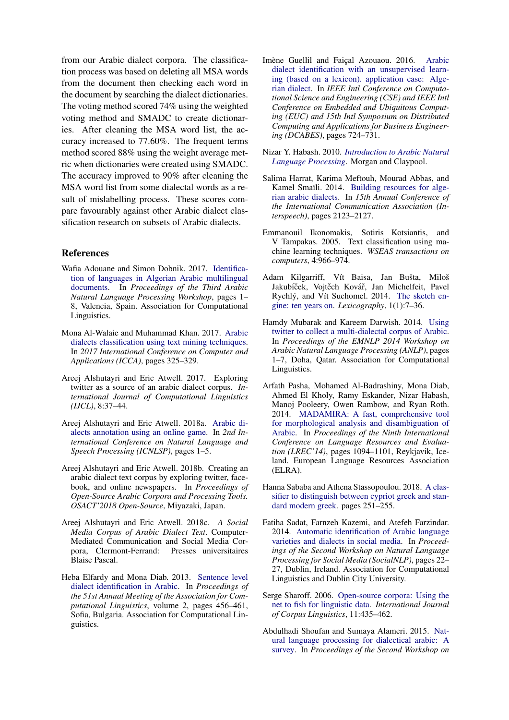from our Arabic dialect corpora. The classification process was based on deleting all MSA words from the document then checking each word in the document by searching the dialect dictionaries. The voting method scored 74% using the weighted voting method and SMADC to create dictionaries. After cleaning the MSA word list, the accuracy increased to 77.60%. The frequent terms method scored 88% using the weight average metric when dictionaries were created using SMADC. The accuracy improved to 90% after cleaning the MSA word list from some dialectal words as a result of mislabelling process. These scores compare favourably against other Arabic dialect classification research on subsets of Arabic dialects.

## References

- <span id="page-7-5"></span>Wafia Adouane and Simon Dobnik. 2017. [Identifica](https://doi.org/10.18653/v1/W17-1301)[tion of languages in Algerian Arabic multilingual](https://doi.org/10.18653/v1/W17-1301) [documents.](https://doi.org/10.18653/v1/W17-1301) In *Proceedings of the Third Arabic Natural Language Processing Workshop*, pages 1– 8, Valencia, Spain. Association for Computational Linguistics.
- <span id="page-7-6"></span>Mona Al-Walaie and Muhammad Khan. 2017. [Arabic](https://doi.org/10.1109/COMAPP.2017.8079752) [dialects classification using text mining techniques.](https://doi.org/10.1109/COMAPP.2017.8079752) In *2017 International Conference on Computer and Applications (ICCA)*, pages 325–329.
- <span id="page-7-7"></span>Areej Alshutayri and Eric Atwell. 2017. Exploring twitter as a source of an arabic dialect corpus. *International Journal of Computational Linguistics (IJCL)*, 8:37–44.
- <span id="page-7-10"></span>Areej Alshutayri and Eric Atwell. 2018a. [Arabic di](https://doi.org/10.1109/ICNLSP.2018.8374371)[alects annotation using an online game.](https://doi.org/10.1109/ICNLSP.2018.8374371) In *2nd International Conference on Natural Language and Speech Processing (ICNLSP)*, pages 1–5.
- <span id="page-7-8"></span>Areej Alshutayri and Eric Atwell. 2018b. Creating an arabic dialect text corpus by exploring twitter, facebook, and online newspapers. In *Proceedings of Open-Source Arabic Corpora and Processing Tools. OSACT'2018 Open-Source*, Miyazaki, Japan.
- <span id="page-7-9"></span>Areej Alshutayri and Eric Atwell. 2018c. *A Social Media Corpus of Arabic Dialect Text*. Computer-Mediated Communication and Social Media Corpora, Clermont-Ferrand: Presses universitaires Blaise Pascal.
- <span id="page-7-14"></span>Heba Elfardy and Mona Diab. 2013. [Sentence level](https://www.aclweb.org/anthology/P13-2081) [dialect identification in Arabic.](https://www.aclweb.org/anthology/P13-2081) In *Proceedings of the 51st Annual Meeting of the Association for Computational Linguistics*, volume 2, pages 456–461, Sofia, Bulgaria. Association for Computational Linguistics.
- <span id="page-7-4"></span>Imène Guellil and Faiçal Azouaou. 2016. [Arabic](https://doi.org/10.1109/CSE-EUC-DCABES.2016.268) [dialect identification with an unsupervised learn](https://doi.org/10.1109/CSE-EUC-DCABES.2016.268)[ing \(based on a lexicon\). application case: Alge](https://doi.org/10.1109/CSE-EUC-DCABES.2016.268)[rian dialect.](https://doi.org/10.1109/CSE-EUC-DCABES.2016.268) In *IEEE Intl Conference on Computational Science and Engineering (CSE) and IEEE Intl Conference on Embedded and Ubiquitous Computing (EUC) and 15th Intl Symposium on Distributed Computing and Applications for Business Engineering (DCABES)*, pages 724–731.
- <span id="page-7-0"></span>Nizar Y. Habash. 2010. *[Introduction to Arabic Natural](https://doi.org/10.2200/S00277ED1V01Y201008HLT010) [Language Processing](https://doi.org/10.2200/S00277ED1V01Y201008HLT010)*. Morgan and Claypool.
- <span id="page-7-16"></span>Salima Harrat, Karima Meftouh, Mourad Abbas, and Kamel Smaïli. 2014. [Building resources for alge](https://doi.org/10.13140/RG.2.1.3963.6000)[rian arabic dialects.](https://doi.org/10.13140/RG.2.1.3963.6000) In *15th Annual Conference of the International Communication Association (Interspeech)*, pages 2123–2127.
- <span id="page-7-2"></span>Emmanouil Ikonomakis, Sotiris Kotsiantis, and V Tampakas. 2005. Text classification using machine learning techniques. *WSEAS transactions on computers*, 4:966–974.
- <span id="page-7-11"></span>Adam Kilgarriff, Vít Baisa, Jan Bušta, Miloš Jakubíček, Vojtěch Kovář, Jan Michelfeit, Pavel Rychlý, and Vít Suchomel. 2014. [The sketch en](https://doi.org/10.1007/s40607-014-0009-9)[gine: ten years on.](https://doi.org/10.1007/s40607-014-0009-9) *Lexicography*, 1(1):7–36.
- <span id="page-7-15"></span>Hamdy Mubarak and Kareem Darwish. 2014. [Using](https://doi.org/10.3115/v1/W14-3601) [twitter to collect a multi-dialectal corpus of Arabic.](https://doi.org/10.3115/v1/W14-3601) In *Proceedings of the EMNLP 2014 Workshop on Arabic Natural Language Processing (ANLP)*, pages 1–7, Doha, Qatar. Association for Computational Linguistics.
- <span id="page-7-1"></span>Arfath Pasha, Mohamed Al-Badrashiny, Mona Diab, Ahmed El Kholy, Ramy Eskander, Nizar Habash, Manoj Pooleery, Owen Rambow, and Ryan Roth. 2014. [MADAMIRA: A fast, comprehensive tool](http://www.lrec-conf.org/proceedings/lrec2014/pdf/593_Paper.pdf) [for morphological analysis and disambiguation of](http://www.lrec-conf.org/proceedings/lrec2014/pdf/593_Paper.pdf) [Arabic.](http://www.lrec-conf.org/proceedings/lrec2014/pdf/593_Paper.pdf) In *Proceedings of the Ninth International Conference on Language Resources and Evaluation (LREC'14)*, pages 1094–1101, Reykjavik, Iceland. European Language Resources Association (ELRA).
- <span id="page-7-3"></span>Hanna Sababa and Athena Stassopoulou. 2018. [A clas](https://doi.org/10.1109/SNAMS.2018.8554709)[sifier to distinguish between cypriot greek and stan](https://doi.org/10.1109/SNAMS.2018.8554709)[dard modern greek.](https://doi.org/10.1109/SNAMS.2018.8554709) pages 251–255.
- <span id="page-7-13"></span>Fatiha Sadat, Farnzeh Kazemi, and Atefeh Farzindar. 2014. [Automatic identification of Arabic language](https://doi.org/10.3115/v1/W14-5904) [varieties and dialects in social media.](https://doi.org/10.3115/v1/W14-5904) In *Proceedings of the Second Workshop on Natural Language Processing for Social Media (SocialNLP)*, pages 22– 27, Dublin, Ireland. Association for Computational Linguistics and Dublin City University.
- <span id="page-7-12"></span>Serge Sharoff. 2006. [Open-source corpora: Using the](https://doi.org/10.1075/ijcl.11.4.05sha) [net to fish for linguistic data.](https://doi.org/10.1075/ijcl.11.4.05sha) *International Journal of Corpus Linguistics*, 11:435–462.
- <span id="page-7-17"></span>Abdulhadi Shoufan and Sumaya Alameri. 2015. [Nat](https://doi.org/10.18653/v1/W15-3205)[ural language processing for dialectical arabic: A](https://doi.org/10.18653/v1/W15-3205) [survey.](https://doi.org/10.18653/v1/W15-3205) In *Proceedings of the Second Workshop on*